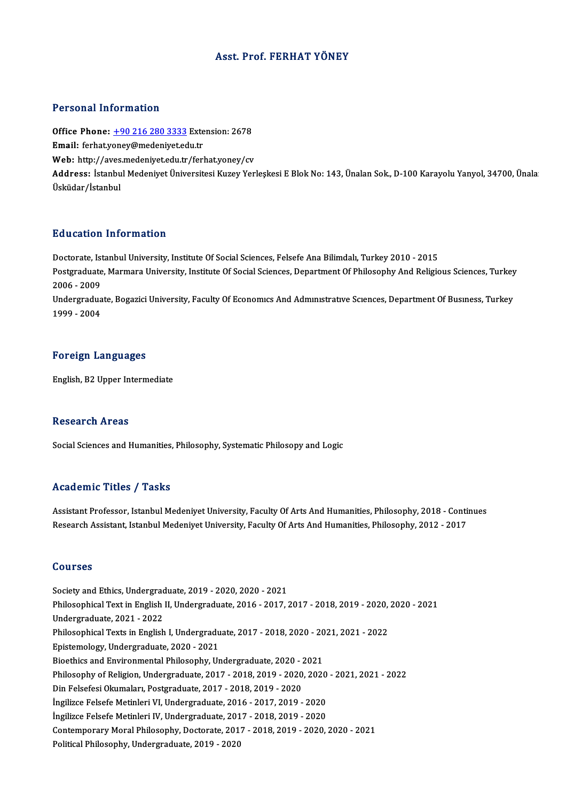#### Asst. Prof. FERHAT YÖNEY

#### Personal Information

Personal Information<br>Office Phone: <u>+90 216 280 3333</u> Extension: 2678<br>Email: forbatyoney@medeniyet.edu.tr Processian information<br>Office Phone: <u>+90 216 280 3333</u> Exte<br>Email: ferhat.y[oney@medeniyet.ed](tel:+90 216 280 3333)u.tr Office Phone: <u>+90 216 280 3333</u> Extension: 2678<br>Email: ferhat.yoney@medeniyet.edu.tr<br>Web: http://aves.medeniyet.edu.tr/ferhat.yoney/cv<br>Address. Istanbul Medeniyet.<sup>g</sup>hiyersitesi.Kurey.Ver Email: ferhat,yoney@medeniyet.edu.tr<br>Web: http://aves.medeniyet.edu.tr/ferhat,yoney/cv<br>Address: İstanbul Medeniyet Üniversitesi Kuzey Yerleşkesi E Blok No: 143, Ünalan Sok., D-100 Karayolu Yanyol, 34700, Ünala<br>Üsküdar/İsta Web: http://aves.medeniyet.edu.tr/ferhat.yoney/cv

#### Education Information

Education Information<br>Doctorate, Istanbul University, Institute Of Social Sciences, Felsefe Ana Bilimdalı, Turkey 2010 - 2015<br>Postareduate Marmare University, Institute Of Social Sciences, Penartment Of Philosophy And Poli Pulusticyn Timot Inderon<br>Doctorate, Istanbul University, Institute Of Social Sciences, Felsefe Ana Bilimdalı, Turkey 2010 - 2015<br>Postgraduate, Marmara University, Institute Of Social Sciences, Department Of Philosophy And Doctorate, Ist<br>Postgraduate<br>2006 - 2009<br>Undergradue Postgraduate, Marmara University, Institute Of Social Sciences, Department Of Philosophy And Religious Sciences, Turkey<br>2006 - 2009<br>Undergraduate, Bogazici University, Faculty Of Economics And Administrative Sciences, Depa

2006 - 2009<br>Undergraduate, Bogazici University, Faculty Of Economics And Administrative Sciences, Department Of Business, Turkey<br>1999 - 2004

#### Foreign Languages

English,B2Upper Intermediate

#### **Research Areas**

Social Sciences and Humanities, Philosophy, Systematic Philosopy and Logic

#### Academic Titles / Tasks

Assistant Professor, Istanbul Medeniyet University, Faculty Of Arts And Humanities, Philosophy, 2018 - Continues Research Assistant, Istanbul Medeniyet University, Faculty Of Arts And Humanities, Philosophy, 2012 - 2017

#### Courses

Society and Ethics, Undergraduate, 2019 - 2020, 2020 - 2021 Society and Ethics, Undergraduate, 2019 - 2020, 2020 - 2021<br>Philosophical Text in English II, Undergraduate, 2016 - 2017, 2017 - 2018, 2019 - 2020, 2020 - 2021<br>Undergraduate, 2021, ...2022 Undergraduate,2021 -2022 Philosophical Text in English II, Undergraduate, 2016 - 2017, 2017 - 2018, 2019 - 2020,<br>Undergraduate, 2021 - 2022<br>Philosophical Texts in English I, Undergraduate, 2017 - 2018, 2020 - 2021, 2021 - 2022<br>Enistamelagy, Underg Philosophical Texts in English I, Undergraduate, 2017 - 2018, 2020 - 2021, 2021 - 2022<br>Epistemology, Undergraduate, 2020 - 2021 Philosophical Texts in English I, Undergraduate, 2017 - 2018, 2020 - 20<br>Epistemology, Undergraduate, 2020 - 2021<br>Bioethics and Environmental Philosophy, Undergraduate, 2020 - 2021<br>Philosophy of Polition, Undergraduate, 201 Epistemology, Undergraduate, 2020 - 2021<br>Bioethics and Environmental Philosophy, Undergraduate, 2020 - 2021<br>Philosophy of Religion, Undergraduate, 2017 - 2018, 2019 - 2020, 2020 - 2021, 2021 - 2022<br>Din Eokofosi Olaymalary Bioethics and Environmental Philosophy, Undergraduate, 2020 - 2<br>Philosophy of Religion, Undergraduate, 2017 - 2018, 2019 - 2020<br>Din Felsefesi Okumaları, Postgraduate, 2017 - 2018, 2019 - 2020<br>İngilize Felecfe Metipleri VI Philosophy of Religion, Undergraduate, 2017 - 2018, 2019 - 2020, 2020<br>Din Felsefesi Okumaları, Postgraduate, 2017 - 2018, 2019 - 2020<br>İngilizce Felsefe Metinleri VI, Undergraduate, 2016 - 2017, 2019 - 2020<br>İngilizce Felsef Din Felsefesi Okumaları, Postgraduate, 2017 - 2018, 2019 - 2020<br>İngilizce Felsefe Metinleri VI, Undergraduate, 2016 - 2017, 2019 - 2020<br>İngilizce Felsefe Metinleri IV, Undergraduate, 2017 - 2018, 2019 - 2020 Contemporary Moral Philosophy, Doctorate, 2017 - 2018, 2019 - 2020, 2020 - 2021 Political Philosophy, Undergraduate, 2019 - 2020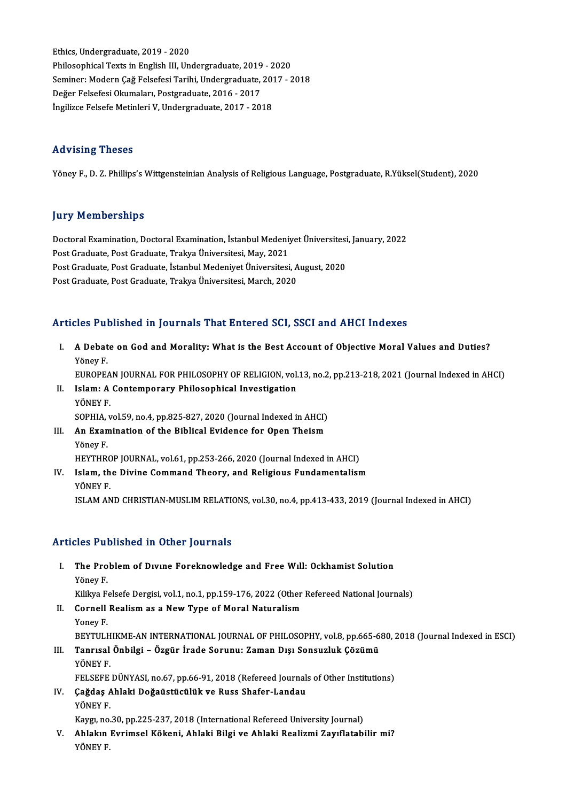Ethics,Undergraduate,2019 -2020 Philosophical Texts in English III, Undergraduate, 2019 - 2020 Seminer: Modern Çağ Felsefesi Tarihi, Undergraduate, 2017 - 2018 Değer Felsefesi Okumaları, Postgraduate, 2016 - 2017 İngilizce Felsefe Metinleri V, Undergraduate, 2017 - 2018

#### Advising Theses

Yöney F., D. Z. Phillips's Wittgensteinian Analysis of Religious Language, Postgraduate, R.Yüksel(Student), 2020

#### **Jury Memberships**

Jury Memberships<br>Doctoral Examination, Doctoral Examination, İstanbul Medeniyet Üniversitesi, January, 2022<br>Post Craduate Post Craduate Trakya Üniversitesi May 2021 pary Tremberompo<br>Doctoral Examination, Doctoral Examination, İstanbul Medeniy<br>Post Graduate, Post Graduate, Trakya Üniversitesi, May, 2021<br>Post Graduate, Post Graduate, İstanbul Medeniyat Üniversitesi Doctoral Examination, Doctoral Examination, İstanbul Medeniyet Üniversitesi<br>Post Graduate, Post Graduate, Trakya Üniversitesi, May, 2021<br>Post Graduate, Post Graduate, İstanbul Medeniyet Üniversitesi, August, 2020<br>Post Grad Post Graduate, Post Graduate, Trakya Üniversitesi, May, 2021<br>Post Graduate, Post Graduate, İstanbul Medeniyet Üniversitesi, August, 2020<br>Post Graduate, Post Graduate, Trakya Üniversitesi, March, 2020

### Articles Published in Journals That Entered SCI, SSCI and AHCI Indexes

rticles Published in Journals That Entered SCI, SSCI and AHCI Indexes<br>I. A Debate on God and Morality: What is the Best Account of Objective Moral Values and Duties?<br>Vänev F A Debat<br>A Debat<br>Yöney F.

Yöney F.<br>EUROPEAN JOURNAL FOR PHILOSOPHY OF RELIGION, vol.13, no.2, pp.213-218, 2021 (Journal Indexed in AHCI)

- Yöney F.<br>EUROPEAN JOURNAL FOR PHILOSOPHY OF RELIGION, vol.<br>II. Islam: A Contemporary Philosophical Investigation<br>VÖNEV E EUROPEA<br>Islam: A<br>YÖNEY F.<br>SOPHA SOPHIA,vol.59,no.4,pp.825-827,2020 (Journal Indexed inAHCI) YÖNEY F.<br>SOPHIA, vol.59, no.4, pp.825-827, 2020 (Journal Indexed in AHCI)<br>III. An Examination of the Biblical Evidence for Open Theism<br>Vänev E SOPHIA,<br>**An Exan**<br>Yöney F.<br>HEVTHR
	- Yöney F.<br>HEYTHROP JOURNAL, vol.61, pp.253-266, 2020 (Journal Indexed in AHCI)
- Yöney F.<br>HEYTHROP JOURNAL, vol.61, pp.253-266, 2020 (Journal Indexed in AHCI)<br>IV. Islam, the Divine Command Theory, and Religious Fundamentalism<br>VÖNEV E HEYTHRC<br>Isla<mark>m, th</mark><br>YÖNEY F.<br><sup>ISLAM AN</sup> YÖNEY F.<br>ISLAM AND CHRISTIAN-MUSLIM RELATIONS, vol.30, no.4, pp.413-433, 2019 (Journal Indexed in AHCI)

### Articles Published in Other Journals

rticles Published in Other Journals<br>I. The Problem of Dıvıne Foreknowledge and Free Wıll: Ockhamist Solution<br>Vänev E The Pro<br>The Pro<br><sup>Yöney F.</sup><br><sup>Villon F.</sup> Yöney F.<br>Kilikya Felsefe Dergisi, vol.1, no.1, pp.159-176, 2022 (Other Refereed National Journals) Yöney F.<br>Kilikya Felsefe Dergisi, vol.1, no.1, pp.159-176, 2022 (Other<br>II. Cornell Realism as a New Type of Moral Naturalism<br>Voney F Kilikya F<br>**Cornell**<br>Yoney F.<br>PEVTII I Yoney F.<br>BEYTULHIKME-AN INTERNATIONAL JOURNAL OF PHILOSOPHY, vol.8, pp.665-680, 2018 (Journal Indexed in ESCI) Yoney F.<br>BEYTULHIKME-AN INTERNATIONAL JOURNAL OF PHILOSOPHY, vol.8, pp.665-6<br>III. Tanrısal Önbilgi – Özgür İrade Sorunu: Zaman Dışı Sonsuzluk Çözümü<br>VÖNEV E BEYTULH<br>Tanrısal<br>YÖNEY F.<br>EELSEEE Tanrısal Önbilgi – Özgür İrade Sorunu: Zaman Dışı Sonsuzluk Çözümü<br>YÖNEY F.<br>FELSEFE DÜNYASI, no.67, pp.66-91, 2018 (Refereed Journals of Other Institutions)<br>Coğdee Ahlaki Doğaüstüsülük ve Buse Shafer Landay YÖNEY F.<br>FELSEFE DÜNYASI, no.67, pp.66-91, 2018 (Refereed Journal<br>IV. Çağdaş Ahlaki Doğaüstücülük ve Russ Shafer-Landau<br>YÖNEY F. FELSEFE<br>Çağdaş A<br>YÖNEY F.

Kaygı, no.30, pp.225-237, 2018 (International Refereed University Journal)

YÖNEY F.<br>Kaygı, no.30, pp.225-237, 2018 (International Refereed University Journal)<br>V. Ahlakın Evrimsel Kökeni, Ahlaki Bilgi ve Ahlaki Realizmi Zayıflatabilir mi?<br>VÖNEV E Kaygı, no<br><mark>Ahlakın</mark><br>YÖNEY F.